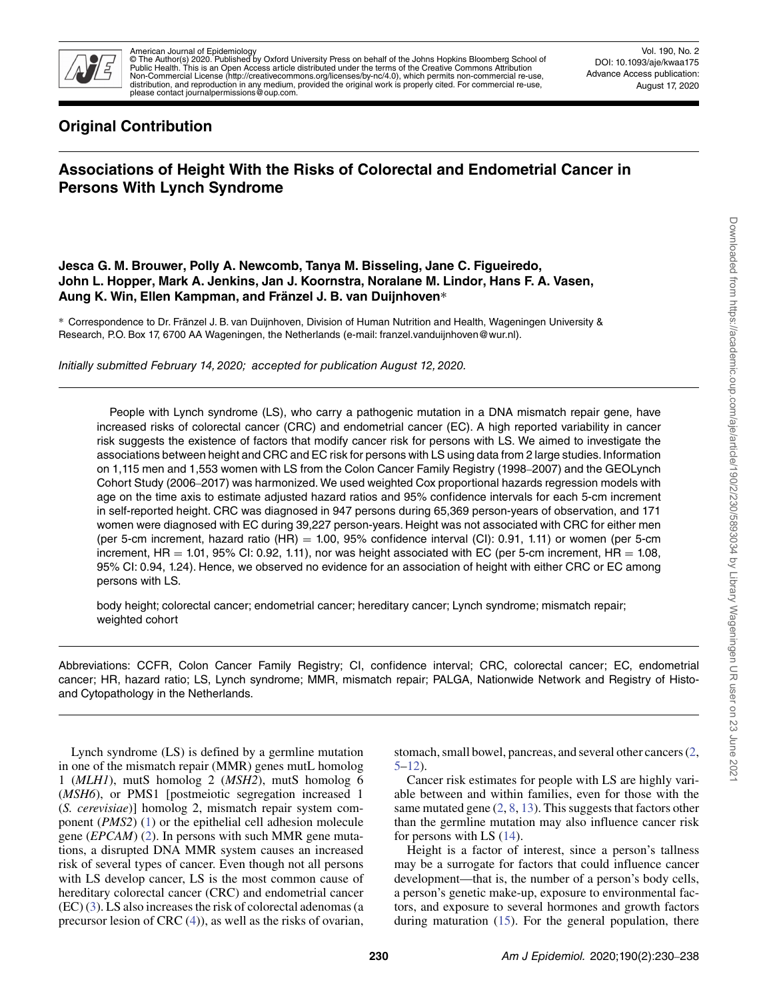

American Journal of Epidemiology<br>© The Author(s) 2020. Published by Oxford University Press on behalf of the Johns Hopkins Bloomberg School of<br>Public Health. This is an Open Access article distributed under the terms of t distribution, and reproduction in any medium, provided the original work is properly cited. For commercial re-use, please contact journalpermissions@oup.com.

Vol. 190, No. 2 DOI: 10.1093/aje/kwaa175 Advance Access publication: August 17, 2020

# **Original Contribution**

# **Associations of Height With the Risks of Colorectal and Endometrial Cancer in Persons With Lynch Syndrome**

# **Jesca G. M. Brouwer, Polly A. Newcomb, Tanya M. Bisseling, Jane C. Figueiredo, John L. Hopper, Mark A. Jenkins, Jan J. Koornstra, Noralane M. Lindor, Hans F. A. Vasen, Aung K. Win, Ellen Kampman, and Fränzel J. B. van Duijnhoven**∗

∗ Correspondence to Dr. Fränzel J. B. van Duijnhoven, Division of Human Nutrition and Health, Wageningen University & Research, P.O. Box 17, 6700 AA Wageningen, the Netherlands (e-mail: franzel.vanduijnhoven@wur.nl).

Initially submitted February 14, 2020; accepted for publication August 12, 2020.

People with Lynch syndrome (LS), who carry a pathogenic mutation in a DNA mismatch repair gene, have increased risks of colorectal cancer (CRC) and endometrial cancer (EC). A high reported variability in cancer risk suggests the existence of factors that modify cancer risk for persons with LS. We aimed to investigate the associations between height and CRC and EC risk for persons with LS using data from 2 large studies. Information on 1,115 men and 1,553 women with LS from the Colon Cancer Family Registry (1998–2007) and the GEOLynch Cohort Study (2006–2017) was harmonized. We used weighted Cox proportional hazards regression models with age on the time axis to estimate adjusted hazard ratios and 95% confidence intervals for each 5-cm increment in self-reported height. CRC was diagnosed in 947 persons during 65,369 person-years of observation, and 171 women were diagnosed with EC during 39,227 person-years. Height was not associated with CRC for either men (per 5-cm increment, hazard ratio  $(HR) = 1.00$ , 95% confidence interval  $(Cl)$ : 0.91, 1.11) or women (per 5-cm increment,  $HR = 1.01$ , 95% CI: 0.92, 1.11), nor was height associated with EC (per 5-cm increment,  $HR = 1.08$ , 95% CI: 0.94, 1.24). Hence, we observed no evidence for an association of height with either CRC or EC among persons with LS.

body height; colorectal cancer; endometrial cancer; hereditary cancer; Lynch syndrome; mismatch repair; weighted cohort

Abbreviations: CCFR, Colon Cancer Family Registry; CI, confidence interval; CRC, colorectal cancer; EC, endometrial cancer; HR, hazard ratio; LS, Lynch syndrome; MMR, mismatch repair; PALGA, Nationwide Network and Registry of Histoand Cytopathology in the Netherlands.

Lynch syndrome (LS) is defined by a germline mutation in one of the mismatch repair (MMR) genes mutL homolog 1 (*MLH1*), mutS homolog 2 (*MSH2*), mutS homolog 6 (*MSH6*), or PMS1 [postmeiotic segregation increased 1 (*S. cerevisiae*)] homolog 2, mismatch repair system component (*PMS2*) [\(1\)](#page-7-0) or the epithelial cell adhesion molecule gene (*EPCAM*) [\(2\)](#page-7-1). In persons with such MMR gene mutations, a disrupted DNA MMR system causes an increased risk of several types of cancer. Even though not all persons with LS develop cancer, LS is the most common cause of hereditary colorectal cancer (CRC) and endometrial cancer (EC) [\(3\)](#page-7-2). LS also increases the risk of colorectal adenomas (a precursor lesion of CRC [\(4\)](#page-7-3)), as well as the risks of ovarian, stomach, small bowel, pancreas, and several other cancers [\(2,](#page-7-1) [5–](#page-7-4)[12\)](#page-7-5).

Cancer risk estimates for people with LS are highly variable between and within families, even for those with the same mutated gene  $(2, 8, 13)$  $(2, 8, 13)$  $(2, 8, 13)$  $(2, 8, 13)$  $(2, 8, 13)$ . This suggests that factors other than the germline mutation may also influence cancer risk for persons with LS [\(14\)](#page-7-8).

Height is a factor of interest, since a person's tallness may be a surrogate for factors that could influence cancer development—that is, the number of a person's body cells, a person's genetic make-up, exposure to environmental factors, and exposure to several hormones and growth factors during maturation [\(15\)](#page-7-9). For the general population, there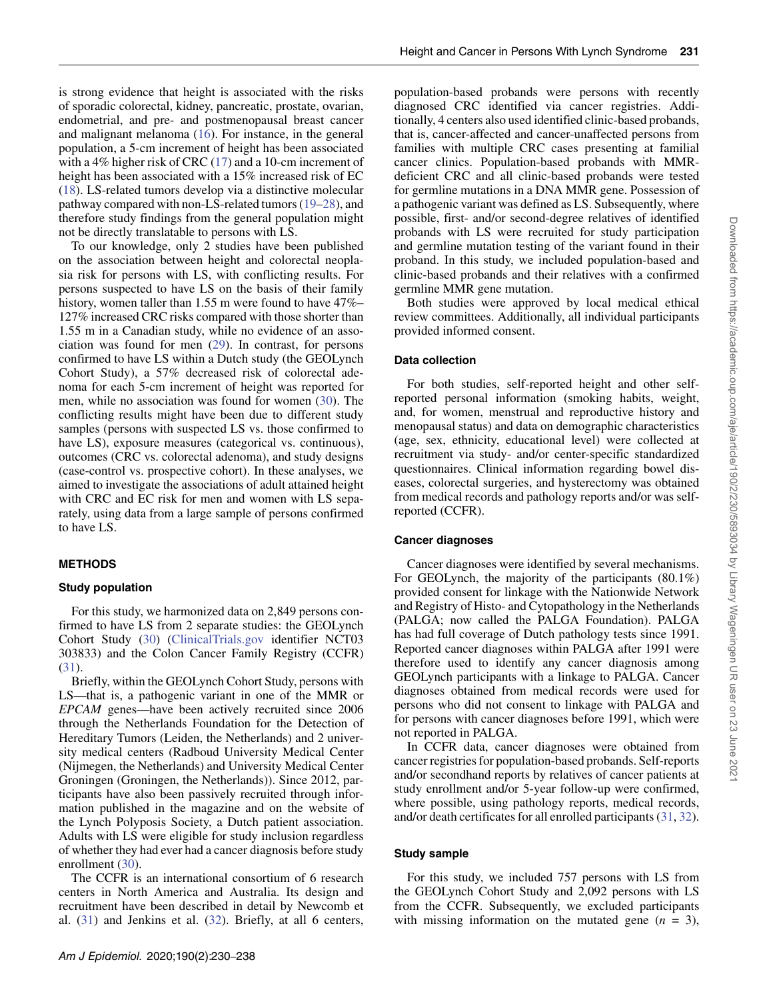is strong evidence that height is associated with the risks of sporadic colorectal, kidney, pancreatic, prostate, ovarian, endometrial, and pre- and postmenopausal breast cancer and malignant melanoma [\(16\)](#page-7-10). For instance, in the general population, a 5-cm increment of height has been associated with a 4% higher risk of CRC [\(17\)](#page-7-11) and a 10-cm increment of height has been associated with a 15% increased risk of EC [\(18\)](#page-7-12). LS-related tumors develop via a distinctive molecular pathway compared with non-LS-related tumors [\(19](#page-7-13)[–28\)](#page-7-14), and therefore study findings from the general population might

not be directly translatable to persons with LS. To our knowledge, only 2 studies have been published on the association between height and colorectal neoplasia risk for persons with LS, with conflicting results. For persons suspected to have LS on the basis of their family history, women taller than 1.55 m were found to have 47%– 127% increased CRC risks compared with those shorter than 1.55 m in a Canadian study, while no evidence of an association was found for men [\(29\)](#page-7-15). In contrast, for persons confirmed to have LS within a Dutch study (the GEOLynch Cohort Study), a 57% decreased risk of colorectal adenoma for each 5-cm increment of height was reported for men, while no association was found for women [\(30\)](#page-7-16). The conflicting results might have been due to different study samples (persons with suspected LS vs. those confirmed to have LS), exposure measures (categorical vs. continuous), outcomes (CRC vs. colorectal adenoma), and study designs (case-control vs. prospective cohort). In these analyses, we aimed to investigate the associations of adult attained height with CRC and EC risk for men and women with LS separately, using data from a large sample of persons confirmed to have LS.

# **METHODS**

## **Study population**

For this study, we harmonized data on 2,849 persons confirmed to have LS from 2 separate studies: the GEOLynch Cohort Study [\(30\)](#page-7-16) [\(ClinicalTrials.gov](ClinicalTrials.gov) identifier NCT03 303833) and the Colon Cancer Family Registry (CCFR) [\(31\)](#page-8-0).

Briefly, within the GEOLynch Cohort Study, persons with LS—that is, a pathogenic variant in one of the MMR or *EPCAM* genes—have been actively recruited since 2006 through the Netherlands Foundation for the Detection of Hereditary Tumors (Leiden, the Netherlands) and 2 university medical centers (Radboud University Medical Center (Nijmegen, the Netherlands) and University Medical Center Groningen (Groningen, the Netherlands)). Since 2012, participants have also been passively recruited through information published in the magazine and on the website of the Lynch Polyposis Society, a Dutch patient association. Adults with LS were eligible for study inclusion regardless of whether they had ever had a cancer diagnosis before study enrollment [\(30\)](#page-7-16).

The CCFR is an international consortium of 6 research centers in North America and Australia. Its design and recruitment have been described in detail by Newcomb et al. [\(31\)](#page-8-0) and Jenkins et al. [\(32\)](#page-8-1). Briefly, at all 6 centers,

population-based probands were persons with recently diagnosed CRC identified via cancer registries. Additionally, 4 centers also used identified clinic-based probands, that is, cancer-affected and cancer-unaffected persons from families with multiple CRC cases presenting at familial cancer clinics. Population-based probands with MMRdeficient CRC and all clinic-based probands were tested for germline mutations in a DNA MMR gene. Possession of a pathogenic variant was defined as LS. Subsequently, where possible, first- and/or second-degree relatives of identified probands with LS were recruited for study participation and germline mutation testing of the variant found in their proband. In this study, we included population-based and clinic-based probands and their relatives with a confirmed germline MMR gene mutation.

Both studies were approved by local medical ethical review committees. Additionally, all individual participants provided informed consent.

#### **Data collection**

For both studies, self-reported height and other selfreported personal information (smoking habits, weight, and, for women, menstrual and reproductive history and menopausal status) and data on demographic characteristics (age, sex, ethnicity, educational level) were collected at recruitment via study- and/or center-specific standardized questionnaires. Clinical information regarding bowel diseases, colorectal surgeries, and hysterectomy was obtained from medical records and pathology reports and/or was selfreported (CCFR).

#### **Cancer diagnoses**

Cancer diagnoses were identified by several mechanisms. For GEOLynch, the majority of the participants (80.1%) provided consent for linkage with the Nationwide Network and Registry of Histo- and Cytopathology in the Netherlands (PALGA; now called the PALGA Foundation). PALGA has had full coverage of Dutch pathology tests since 1991. Reported cancer diagnoses within PALGA after 1991 were therefore used to identify any cancer diagnosis among GEOLynch participants with a linkage to PALGA. Cancer diagnoses obtained from medical records were used for persons who did not consent to linkage with PALGA and for persons with cancer diagnoses before 1991, which were not reported in PALGA.

In CCFR data, cancer diagnoses were obtained from cancer registries for population-based probands. Self-reports and/or secondhand reports by relatives of cancer patients at study enrollment and/or 5-year follow-up were confirmed, where possible, using pathology reports, medical records, and/or death certificates for all enrolled participants [\(31,](#page-8-0) [32\)](#page-8-1).

#### **Study sample**

For this study, we included 757 persons with LS from the GEOLynch Cohort Study and 2,092 persons with LS from the CCFR. Subsequently, we excluded participants with missing information on the mutated gene  $(n = 3)$ ,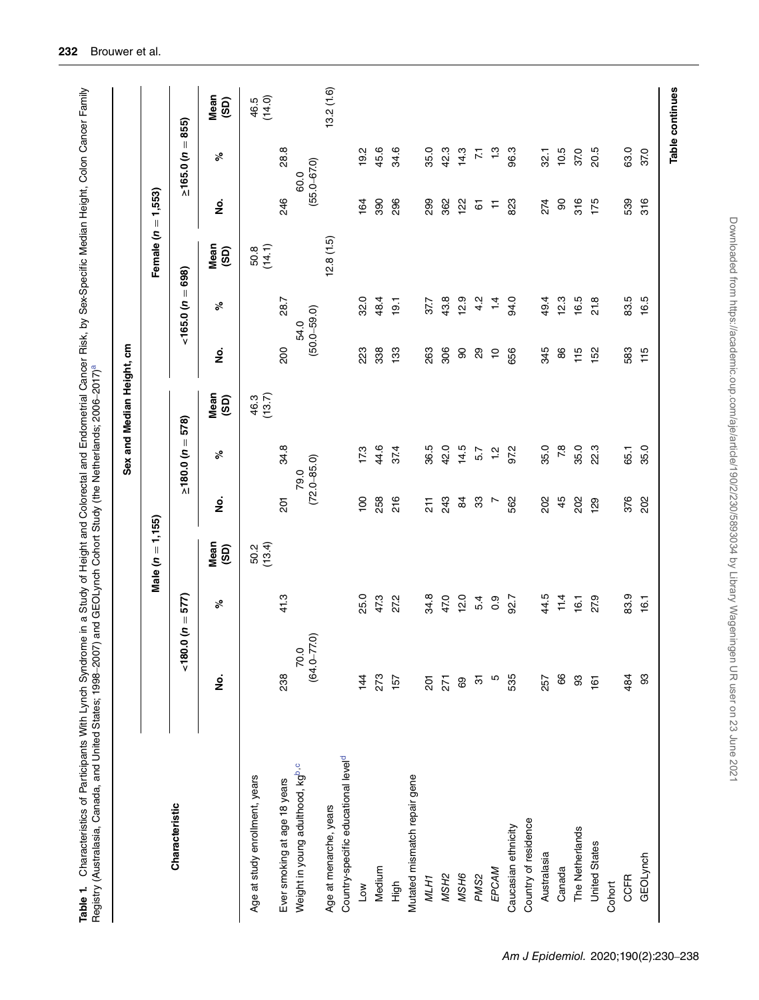| Characteristic                                  |                              |      |                     |                  |                 | Sex and Median Height, cm |                                       |                                           |                |                         |                   |                |
|-------------------------------------------------|------------------------------|------|---------------------|------------------|-----------------|---------------------------|---------------------------------------|-------------------------------------------|----------------|-------------------------|-------------------|----------------|
|                                                 |                              |      | Male $(n = 1, 155)$ |                  |                 |                           |                                       |                                           | Female (n      | 1,553)<br>$\parallel$   |                   |                |
|                                                 | $=$ $\omega$ 0.080 $\approx$ | 577) |                     |                  | $\geq 180.0$ (n | $= 578$                   |                                       | $\label{eq:1} \ \hspace{1mm}$<br>165.0(n) | 698)           |                         | $\simeq 165.0$ (n | $= 855$        |
|                                                 | ş                            | ಸಿ   | Mean<br>(3D)        | g                | ಸಿ              | Mean<br>(5D)              | $\frac{\dot{\mathsf{p}}}{\mathsf{p}}$ | ಸಿ                                        | Mean<br>(3D)   | <u>ہ</u>                | ್ನೇ               | Mean<br>(5D)   |
| Age at study enrollment, years                  |                              |      | 50.2<br>(13.4)      |                  |                 | (13.7)<br>46.3            |                                       |                                           | (14.1)<br>50.8 |                         |                   | (14.0)<br>46.5 |
| Ever smoking at age 18 years                    | 238                          | 413  |                     | $\overline{5}$   | 34.8            |                           | 200                                   | 28.7                                      |                | 246                     | 28.8              |                |
| Weight in young adulthood, kgb,c                | 70.0<br>(64.0–77.0)          |      |                     | $(72.0 - 85.0)$  | 79.0            |                           | $(50.0 - 59.0)$<br>54.0               |                                           |                | $(55.0 - 67.0)$<br>60.0 |                   |                |
| Age at menarche, years                          |                              |      |                     |                  |                 |                           |                                       |                                           | 12.8(1.5)      |                         |                   | 13.2(1.6)      |
| Country-specific educational level <sup>d</sup> |                              |      |                     |                  |                 |                           |                                       |                                           |                |                         |                   |                |
| Low                                             | 144                          | 25.0 |                     | $\overline{100}$ | 17.3            |                           | 223                                   | 32.0                                      |                | 164                     | 19.2              |                |
| Medium                                          | 273                          | 47.3 |                     | 258              | 44.6            |                           | 338                                   | 48.4                                      |                | 390                     | 45.6              |                |
| High                                            | 157                          | 272  |                     | 216              | 37.4            |                           | 133                                   | 19.1                                      |                | 296                     | 34.6              |                |
| Mutated mismatch repair gene                    |                              |      |                     |                  |                 |                           |                                       |                                           |                |                         |                   |                |
| MLH1                                            | 201                          | 34.8 |                     | 211              | 36.5            |                           | 263                                   | 37.7                                      |                | 299                     | 35.0              |                |
| MSH <sub>2</sub>                                | 271                          | 47.0 |                     | 243              | 42.0            |                           | 306                                   | 43.8                                      |                | 362                     | 42.3              |                |
| MSH6                                            | 89                           | 12.0 |                     | $\mathfrak{g}$   | 14.5            |                           | 8                                     | 12.9                                      |                | <u> 인</u>               | 14.3              |                |
| PMS <sub>2</sub>                                | $\overline{5}$               | 5.4  |                     | 33               | 5.7             |                           | $\mathbf{S}$                          | 4.2                                       |                | $\overline{6}$          | $\overline{z}$    |                |
| EPCAM                                           | Ю                            | 0.9  |                     | L                | $\frac{1}{2}$   |                           | $\tilde{a}$                           | $\frac{1}{4}$                             |                | $\mathrel{\vdash}$      | 1.3               |                |
| Caucasian ethnicity                             | 535                          | 92.7 |                     | 562              | 97.2            |                           | 656                                   | 94.0                                      |                | 823                     | 96.3              |                |
| Country of residence                            |                              |      |                     |                  |                 |                           |                                       |                                           |                |                         |                   |                |
| Australasia                                     | 257                          | 44.5 |                     | 202              | 35.0            |                           | 345                                   | 49.4                                      |                | 274                     | 32.1              |                |
| Canada                                          | 66                           | 11.4 |                     | 45               | 7.8             |                           | 86                                    | 12.3                                      |                | $\rm ^{\rm o}$          | 10.5              |                |
| The Netherlands                                 | 33                           | 16.1 |                     | 202              | 35.0            |                           | 115                                   | 16.5                                      |                | 316                     | 37.0              |                |
| <b>United States</b>                            | 161                          | 27.9 |                     | 129              | 22.3            |                           | 152                                   | 21.8                                      |                | 175                     | 20.5              |                |
| Cohort                                          |                              |      |                     |                  |                 |                           |                                       |                                           |                |                         |                   |                |
| <b>CCFR</b>                                     | 484                          | 83.9 |                     | 376              | 65.1            |                           | 583                                   | 83.5                                      |                | 539                     | 63.0              |                |
| GEOLynch                                        | 33                           | 16.1 |                     | 202              | 35.0            |                           | 115                                   | rö<br>$\frac{6}{1}$                       |                | 316                     | 37.0              |                |

<span id="page-2-0"></span>Table 1. Characteristics of Participants With Lynch Syndrome in a Study of Height and Colorectal and Endometrial Cancer Risk, by Sex-Specific Median Height, Colon Cancer Family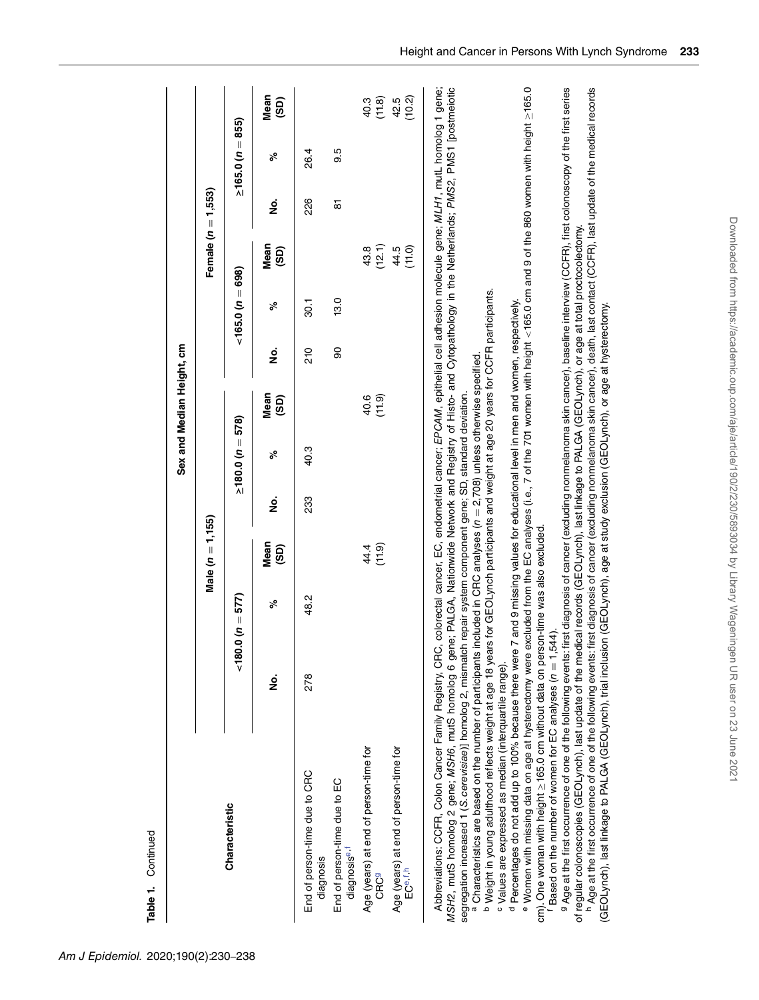| <b>Lable L. Continued</b>                                                                                                                                                                                                                                                                                                                                                                                                                                                                                                                                                                                                                                                                                                                                                                                                           |     |                                                                                                                                                               |                     |     |                        |                           |     |                     |                      |     |                        |                |
|-------------------------------------------------------------------------------------------------------------------------------------------------------------------------------------------------------------------------------------------------------------------------------------------------------------------------------------------------------------------------------------------------------------------------------------------------------------------------------------------------------------------------------------------------------------------------------------------------------------------------------------------------------------------------------------------------------------------------------------------------------------------------------------------------------------------------------------|-----|---------------------------------------------------------------------------------------------------------------------------------------------------------------|---------------------|-----|------------------------|---------------------------|-----|---------------------|----------------------|-----|------------------------|----------------|
|                                                                                                                                                                                                                                                                                                                                                                                                                                                                                                                                                                                                                                                                                                                                                                                                                                     |     |                                                                                                                                                               |                     |     |                        | Sex and Median Height, cm |     |                     |                      |     |                        |                |
|                                                                                                                                                                                                                                                                                                                                                                                                                                                                                                                                                                                                                                                                                                                                                                                                                                     |     |                                                                                                                                                               | Male $(n = 1, 155)$ |     |                        |                           |     |                     | Female $(n = 1,553)$ |     |                        |                |
| Characteristic                                                                                                                                                                                                                                                                                                                                                                                                                                                                                                                                                                                                                                                                                                                                                                                                                      |     | $(180.0(n=577))$                                                                                                                                              |                     |     | $\geq 180.0 (n = 578)$ |                           |     | $< 165.0 (n = 698)$ |                      |     | $\geq 165.0$ (n = 855) |                |
|                                                                                                                                                                                                                                                                                                                                                                                                                                                                                                                                                                                                                                                                                                                                                                                                                                     | ġ   | ್                                                                                                                                                             | Mean<br>(GS)        | ġ   | ್                      | Mean<br>(GD)              | ġ   | ್                   | Mean<br>(SD)         | ġ   | ್                      | Mean<br>(SD)   |
| End of person-time due to CRC<br>diagnosis                                                                                                                                                                                                                                                                                                                                                                                                                                                                                                                                                                                                                                                                                                                                                                                          | 278 | 48.2                                                                                                                                                          |                     | 233 | 40.3                   |                           | 210 | $\overline{5}$      |                      | 226 | 26.4                   |                |
| End of person-time due to EC<br>diagnosis <sup>e,f</sup>                                                                                                                                                                                                                                                                                                                                                                                                                                                                                                                                                                                                                                                                                                                                                                            |     |                                                                                                                                                               |                     |     |                        |                           | 90  | 13.0                |                      | 5   | 9.5                    |                |
| Age (years) at end of person-time for<br><b>CRC</b> 9                                                                                                                                                                                                                                                                                                                                                                                                                                                                                                                                                                                                                                                                                                                                                                               |     |                                                                                                                                                               | (11.9)<br>44.4      |     |                        | (11.9)<br>40.6            |     |                     | (12.1)<br>43.8       |     |                        | (11.8)<br>40.3 |
| Age (years) at end of person-time for<br>EC <sup>e,f,h</sup>                                                                                                                                                                                                                                                                                                                                                                                                                                                                                                                                                                                                                                                                                                                                                                        |     |                                                                                                                                                               |                     |     |                        |                           |     |                     | 44.5<br>(11.0)       |     |                        | (10.2)<br>42.5 |
| Abbreviations: CCFR, Colon Cancer Family Registry, CRC, colorectal cancer, EC, endometrial cancer; EPCAM, epithelial cell adhesion molecule gene; MLH1, mutL homolog 1 gene;<br>MSH2, mutS homolog 2 gene; MSH6, mutS homolog 6 gene; PALGA, Nationwide Network and Registry of Histo- and Cytopathology in the Netherlands; PMS2, PMS1 [postmeiotic<br><sup>b</sup> Weight in young adulthood reflects weight at age 18 years for GEOLynch participants and weight at age 20 years for CCFR participants.<br>a Characteristics are based on the number of participants included in CRC analyses (n = 2,708) unless otherwise specified<br>segregation increased 1 (S. cerevisiae)] homolog 2, mismatch repair system component gene; SD, standard deviation.<br><sup>c</sup> Values are expressed as median (interquartile range). |     |                                                                                                                                                               |                     |     |                        |                           |     |                     |                      |     |                        |                |
| <sup>d</sup> Percentages do not add up to 100% because there were 7 and 9 missing values for educational level in men and women, respectively.<br><sup>e</sup> Women with missing data on age at hysterectomy were<br>cm). One woman with height ≥165.0 cm without data on per<br>Based on the number of women for EC analyses $(n = 1,$                                                                                                                                                                                                                                                                                                                                                                                                                                                                                            |     | excluded from the EC analyses (i.e., 7 of the 701 women with height <165.0 cm and 9 of the 860 women with height ≥165.0<br>son-time was also excluded<br>.544 |                     |     |                        |                           |     |                     |                      |     |                        |                |
| <sup>9</sup> Age at the first occurrence of one of the following events: first diagnosis of cancer (excluding nonmelanoma skin cancer), baseline interview (CCFR), first colonoscopy of the first series<br><sup>h</sup> Age at the first occurrence of one of the following events: first diagnosis of cancer (excluding nonmelanoma skin cancer), death, last contact (CCFR), last update of the medical records<br>of regular colonoscopies (GEOLynch), last update of the medical records (GEOLynch), last linkage to PALGA (GEOLynch), or age at total proctocolectomy.<br>(GEOLynch), last linkage to PALGA (GEOLynch), trial inclusion (GEOLynch), age at study exclusion (GEOLynch), or age at hysterectomy.                                                                                                                |     |                                                                                                                                                               |                     |     |                        |                           |     |                     |                      |     |                        |                |

Continued **Table 1.** Continued Table 1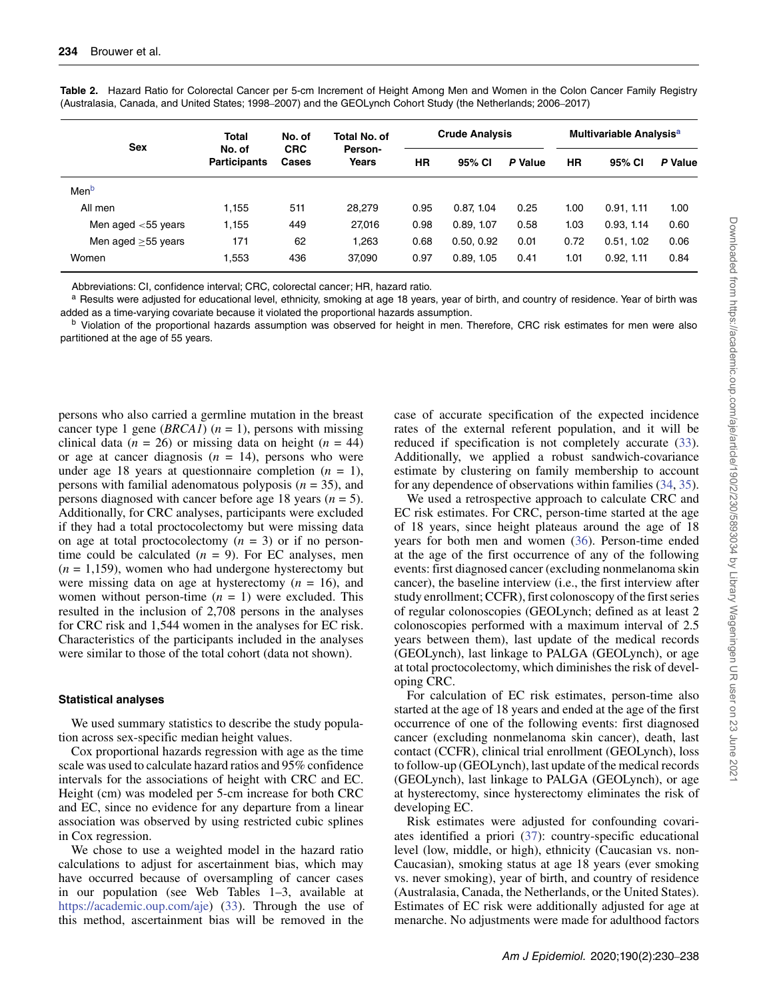| <b>Sex</b>            | <b>Total</b>                  | No. of              | Total No. of     |           | <b>Crude Analysis</b> |         |           | Multivariable Analysis <sup>a</sup> |         |
|-----------------------|-------------------------------|---------------------|------------------|-----------|-----------------------|---------|-----------|-------------------------------------|---------|
|                       | No. of<br><b>Participants</b> | <b>CRC</b><br>Cases | Person-<br>Years | <b>HR</b> | 95% CI                | P Value | <b>HR</b> | 95% CI                              | P Value |
| Men <sup>b</sup>      |                               |                     |                  |           |                       |         |           |                                     |         |
| All men               | 1.155                         | 511                 | 28.279           | 0.95      | 0.87.1.04             | 0.25    | 1.00      | 0.91, 1.11                          | 1.00    |
| Men aged $<$ 55 years | 1,155                         | 449                 | 27.016           | 0.98      | 0.89, 1.07            | 0.58    | 1.03      | 0.93, 1.14                          | 0.60    |
| Men aged $>55$ years  | 171                           | 62                  | .263             | 0.68      | 0.50, 0.92            | 0.01    | 0.72      | 0.51, 1.02                          | 0.06    |
| Women                 | 1,553                         | 436                 | 37,090           | 0.97      | 0.89, 1.05            | 0.41    | 1.01      | 0.92, 1.11                          | 0.84    |

<span id="page-4-0"></span>**Table 2.** Hazard Ratio for Colorectal Cancer per 5-cm Increment of Height Among Men and Women in the Colon Cancer Family Registry (Australasia, Canada, and United States; 1998–2007) and the GEOLynch Cohort Study (the Netherlands; 2006–2017)

Abbreviations: CI, confidence interval; CRC, colorectal cancer; HR, hazard ratio.

a Results were adjusted for educational level, ethnicity, smoking at age 18 years, year of birth, and country of residence. Year of birth was added as a time-varying covariate because it violated the proportional hazards assumption.

<sup>b</sup> Violation of the proportional hazards assumption was observed for height in men. Therefore, CRC risk estimates for men were also partitioned at the age of 55 years.

persons who also carried a germline mutation in the breast cancer type 1 gene (*BRCA1*) ( $n = 1$ ), persons with missing clinical data ( $n = 26$ ) or missing data on height ( $n = 44$ ) or age at cancer diagnosis  $(n = 14)$ , persons who were under age 18 years at questionnaire completion  $(n = 1)$ , persons with familial adenomatous polyposis (*n* = 35), and persons diagnosed with cancer before age 18 years (*n* = 5). Additionally, for CRC analyses, participants were excluded if they had a total proctocolectomy but were missing data on age at total proctocolectomy  $(n = 3)$  or if no persontime could be calculated  $(n = 9)$ . For EC analyses, men  $(n = 1,159)$ , women who had undergone hysterectomy but were missing data on age at hysterectomy  $(n = 16)$ , and women without person-time  $(n = 1)$  were excluded. This resulted in the inclusion of 2,708 persons in the analyses for CRC risk and 1,544 women in the analyses for EC risk. Characteristics of the participants included in the analyses were similar to those of the total cohort (data not shown).

## **Statistical analyses**

We used summary statistics to describe the study population across sex-specific median height values.

Cox proportional hazards regression with age as the time scale was used to calculate hazard ratios and 95% confidence intervals for the associations of height with CRC and EC. Height (cm) was modeled per 5-cm increase for both CRC and EC, since no evidence for any departure from a linear association was observed by using restricted cubic splines in Cox regression.

We chose to use a weighted model in the hazard ratio calculations to adjust for ascertainment bias, which may have occurred because of oversampling of cancer cases in our population (see Web Tables 1–3, available at [https://academic.oup.com/aje\)](https://academic.oup.com/aje) [\(33\)](#page-8-2). Through the use of this method, ascertainment bias will be removed in the

case of accurate specification of the expected incidence rates of the external referent population, and it will be reduced if specification is not completely accurate [\(33\)](#page-8-2). Additionally, we applied a robust sandwich-covariance estimate by clustering on family membership to account for any dependence of observations within families [\(34,](#page-8-3) [35\)](#page-8-4).

We used a retrospective approach to calculate CRC and EC risk estimates. For CRC, person-time started at the age of 18 years, since height plateaus around the age of 18 years for both men and women [\(36\)](#page-8-5). Person-time ended at the age of the first occurrence of any of the following events: first diagnosed cancer (excluding nonmelanoma skin cancer), the baseline interview (i.e., the first interview after study enrollment; CCFR), first colonoscopy of the first series of regular colonoscopies (GEOLynch; defined as at least 2 colonoscopies performed with a maximum interval of 2.5 years between them), last update of the medical records (GEOLynch), last linkage to PALGA (GEOLynch), or age at total proctocolectomy, which diminishes the risk of developing CRC.

For calculation of EC risk estimates, person-time also started at the age of 18 years and ended at the age of the first occurrence of one of the following events: first diagnosed cancer (excluding nonmelanoma skin cancer), death, last contact (CCFR), clinical trial enrollment (GEOLynch), loss to follow-up (GEOLynch), last update of the medical records (GEOLynch), last linkage to PALGA (GEOLynch), or age at hysterectomy, since hysterectomy eliminates the risk of developing EC.

Risk estimates were adjusted for confounding covariates identified a priori [\(37\)](#page-8-6): country-specific educational level (low, middle, or high), ethnicity (Caucasian vs. non-Caucasian), smoking status at age 18 years (ever smoking vs. never smoking), year of birth, and country of residence (Australasia, Canada, the Netherlands, or the United States). Estimates of EC risk were additionally adjusted for age at menarche. No adjustments were made for adulthood factors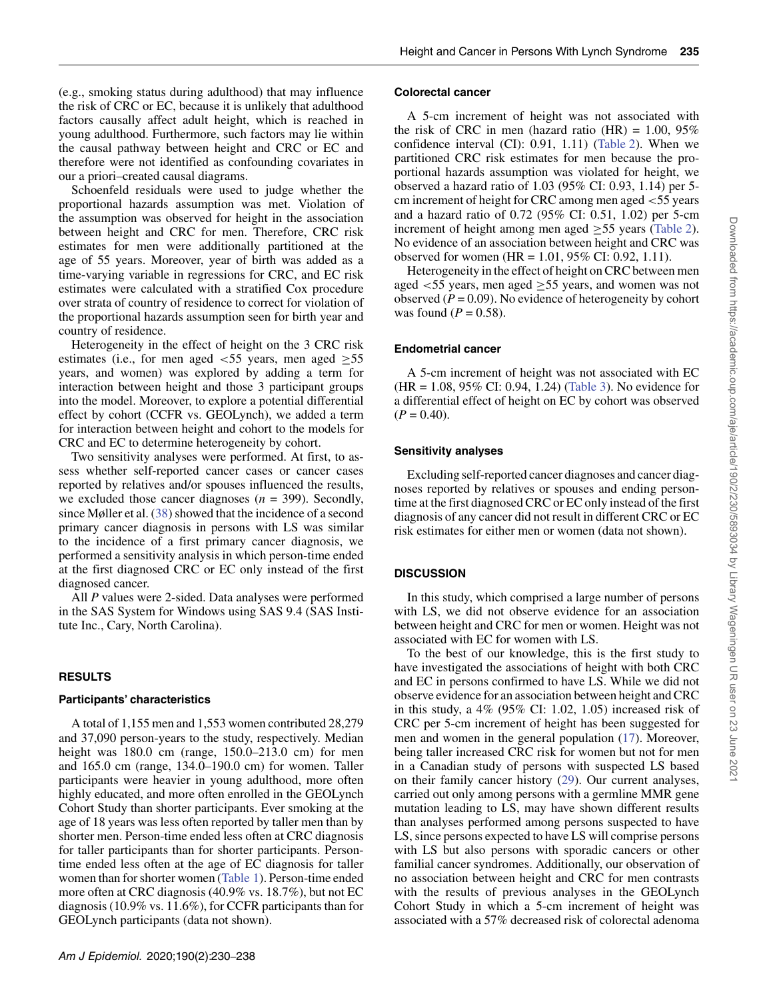(e.g., smoking status during adulthood) that may influence the risk of CRC or EC, because it is unlikely that adulthood factors causally affect adult height, which is reached in young adulthood. Furthermore, such factors may lie within the causal pathway between height and CRC or EC and therefore were not identified as confounding covariates in our a priori–created causal diagrams.

Schoenfeld residuals were used to judge whether the proportional hazards assumption was met. Violation of the assumption was observed for height in the association between height and CRC for men. Therefore, CRC risk estimates for men were additionally partitioned at the age of 55 years. Moreover, year of birth was added as a time-varying variable in regressions for CRC, and EC risk estimates were calculated with a stratified Cox procedure over strata of country of residence to correct for violation of the proportional hazards assumption seen for birth year and country of residence.

Heterogeneity in the effect of height on the 3 CRC risk estimates (i.e., for men aged *<*55 years, men aged ≥55 years, and women) was explored by adding a term for interaction between height and those 3 participant groups into the model. Moreover, to explore a potential differential effect by cohort (CCFR vs. GEOLynch), we added a term for interaction between height and cohort to the models for CRC and EC to determine heterogeneity by cohort.

Two sensitivity analyses were performed. At first, to assess whether self-reported cancer cases or cancer cases reported by relatives and/or spouses influenced the results, we excluded those cancer diagnoses (*n* = 399). Secondly, since Møller et al. [\(38\)](#page-8-7) showed that the incidence of a second primary cancer diagnosis in persons with LS was similar to the incidence of a first primary cancer diagnosis, we performed a sensitivity analysis in which person-time ended at the first diagnosed CRC or EC only instead of the first diagnosed cancer.

All *P* values were 2-sided. Data analyses were performed in the SAS System for Windows using SAS 9.4 (SAS Institute Inc., Cary, North Carolina).

# **RESULTS**

## **Participants' characteristics**

A total of 1,155 men and 1,553 women contributed 28,279 and 37,090 person-years to the study, respectively. Median height was 180.0 cm (range, 150.0–213.0 cm) for men and 165.0 cm (range, 134.0–190.0 cm) for women. Taller participants were heavier in young adulthood, more often highly educated, and more often enrolled in the GEOLynch Cohort Study than shorter participants. Ever smoking at the age of 18 years was less often reported by taller men than by shorter men. Person-time ended less often at CRC diagnosis for taller participants than for shorter participants. Persontime ended less often at the age of EC diagnosis for taller women than for shorter women [\(Table 1\)](#page-2-0). Person-time ended more often at CRC diagnosis (40.9% vs. 18.7%), but not EC diagnosis (10.9% vs. 11.6%), for CCFR participants than for GEOLynch participants (data not shown).

#### **Colorectal cancer**

A 5-cm increment of height was not associated with the risk of CRC in men (hazard ratio  $(HR) = 1.00, 95\%$ confidence interval (CI): 0.91, 1.11) [\(Table 2\)](#page-4-0). When we partitioned CRC risk estimates for men because the proportional hazards assumption was violated for height, we observed a hazard ratio of 1.03 (95% CI: 0.93, 1.14) per 5 cm increment of height for CRC among men aged *<*55 years and a hazard ratio of 0.72 (95% CI: 0.51, 1.02) per 5-cm increment of height among men aged  $\geq$ 55 years [\(Table 2\)](#page-4-0). No evidence of an association between height and CRC was observed for women (HR = 1.01, 95% CI: 0.92, 1.11).

Heterogeneity in the effect of height on CRC between men aged *<*55 years, men aged ≥55 years, and women was not observed  $(P = 0.09)$ . No evidence of heterogeneity by cohort was found  $(P = 0.58)$ .

## **Endometrial cancer**

A 5-cm increment of height was not associated with EC (HR = 1.08, 95% CI: 0.94, 1.24) [\(Table 3\)](#page-6-0). No evidence for a differential effect of height on EC by cohort was observed  $(P = 0.40)$ .

## **Sensitivity analyses**

Excluding self-reported cancer diagnoses and cancer diagnoses reported by relatives or spouses and ending persontime at the first diagnosed CRC or EC only instead of the first diagnosis of any cancer did not result in different CRC or EC risk estimates for either men or women (data not shown).

# **DISCUSSION**

In this study, which comprised a large number of persons with LS, we did not observe evidence for an association between height and CRC for men or women. Height was not associated with EC for women with LS.

To the best of our knowledge, this is the first study to have investigated the associations of height with both CRC and EC in persons confirmed to have LS. While we did not observe evidence for an association between height and CRC in this study, a 4% (95% CI: 1.02, 1.05) increased risk of CRC per 5-cm increment of height has been suggested for men and women in the general population [\(17\)](#page-7-11). Moreover, being taller increased CRC risk for women but not for men in a Canadian study of persons with suspected LS based on their family cancer history [\(29\)](#page-7-15). Our current analyses, carried out only among persons with a germline MMR gene mutation leading to LS, may have shown different results than analyses performed among persons suspected to have LS, since persons expected to have LS will comprise persons with LS but also persons with sporadic cancers or other familial cancer syndromes. Additionally, our observation of no association between height and CRC for men contrasts with the results of previous analyses in the GEOLynch Cohort Study in which a 5-cm increment of height was associated with a 57% decreased risk of colorectal adenoma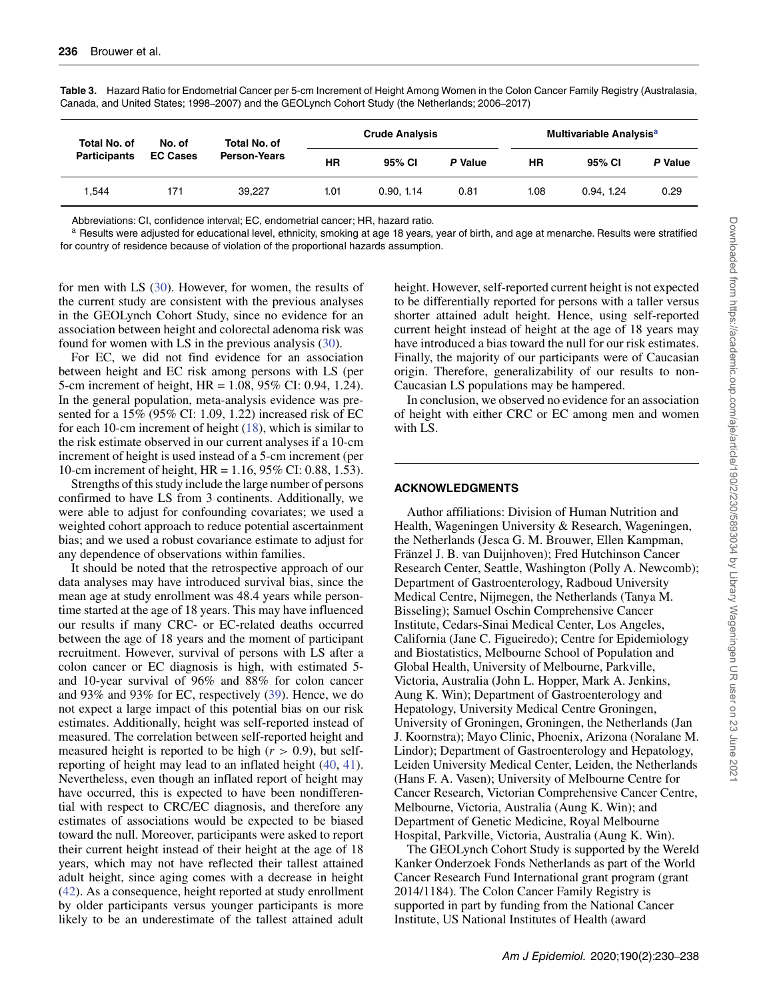| Total No. of        | No. of          | Total No. of        |      | <b>Crude Analysis</b> |         |           | Multivariable Analysis <sup>a</sup> |         |  |
|---------------------|-----------------|---------------------|------|-----------------------|---------|-----------|-------------------------------------|---------|--|
| <b>Participants</b> | <b>EC Cases</b> | <b>Person-Years</b> | ΗR   | 95% CI                | P Value | <b>HR</b> | 95% CI                              | P Value |  |
| .544                | 171             | 39.227              | 1.01 | 0.90, 1.14            | 0.81    | 1.08      | 0.94, 1.24                          | 0.29    |  |

<span id="page-6-0"></span>**Table 3.** Hazard Ratio for Endometrial Cancer per 5-cm Increment of Height Among Women in the Colon Cancer Family Registry (Australasia, Canada, and United States; 1998–2007) and the GEOLynch Cohort Study (the Netherlands; 2006–2017)

Abbreviations: CI, confidence interval; EC, endometrial cancer; HR, hazard ratio.

a Results were adjusted for educational level, ethnicity, smoking at age 18 years, year of birth, and age at menarche. Results were stratified for country of residence because of violation of the proportional hazards assumption.

for men with LS [\(30\)](#page-7-16). However, for women, the results of the current study are consistent with the previous analyses in the GEOLynch Cohort Study, since no evidence for an association between height and colorectal adenoma risk was found for women with LS in the previous analysis [\(30\)](#page-7-16).

For EC, we did not find evidence for an association between height and EC risk among persons with LS (per 5-cm increment of height, HR = 1.08, 95% CI: 0.94, 1.24). In the general population, meta-analysis evidence was presented for a 15% (95% CI: 1.09, 1.22) increased risk of EC for each 10-cm increment of height [\(18\)](#page-7-12), which is similar to the risk estimate observed in our current analyses if a 10-cm increment of height is used instead of a 5-cm increment (per 10-cm increment of height, HR = 1.16, 95% CI: 0.88, 1.53).

Strengths of this study include the large number of persons confirmed to have LS from 3 continents. Additionally, we were able to adjust for confounding covariates; we used a weighted cohort approach to reduce potential ascertainment bias; and we used a robust covariance estimate to adjust for any dependence of observations within families.

It should be noted that the retrospective approach of our data analyses may have introduced survival bias, since the mean age at study enrollment was 48.4 years while persontime started at the age of 18 years. This may have influenced our results if many CRC- or EC-related deaths occurred between the age of 18 years and the moment of participant recruitment. However, survival of persons with LS after a colon cancer or EC diagnosis is high, with estimated 5 and 10-year survival of 96% and 88% for colon cancer and 93% and 93% for EC, respectively [\(39\)](#page-8-8). Hence, we do not expect a large impact of this potential bias on our risk estimates. Additionally, height was self-reported instead of measured. The correlation between self-reported height and measured height is reported to be high  $(r > 0.9)$ , but selfreporting of height may lead to an inflated height [\(40,](#page-8-9) [41\)](#page-8-10). Nevertheless, even though an inflated report of height may have occurred, this is expected to have been nondifferential with respect to CRC/EC diagnosis, and therefore any estimates of associations would be expected to be biased toward the null. Moreover, participants were asked to report their current height instead of their height at the age of 18 years, which may not have reflected their tallest attained adult height, since aging comes with a decrease in height [\(42\)](#page-8-11). As a consequence, height reported at study enrollment by older participants versus younger participants is more likely to be an underestimate of the tallest attained adult height. However, self-reported current height is not expected to be differentially reported for persons with a taller versus shorter attained adult height. Hence, using self-reported current height instead of height at the age of 18 years may have introduced a bias toward the null for our risk estimates. Finally, the majority of our participants were of Caucasian origin. Therefore, generalizability of our results to non-Caucasian LS populations may be hampered.

In conclusion, we observed no evidence for an association of height with either CRC or EC among men and women with LS.

#### **ACKNOWLEDGMENTS**

Author affiliations: Division of Human Nutrition and Health, Wageningen University & Research, Wageningen, the Netherlands (Jesca G. M. Brouwer, Ellen Kampman, Fränzel J. B. van Duijnhoven); Fred Hutchinson Cancer Research Center, Seattle, Washington (Polly A. Newcomb); Department of Gastroenterology, Radboud University Medical Centre, Nijmegen, the Netherlands (Tanya M. Bisseling); Samuel Oschin Comprehensive Cancer Institute, Cedars-Sinai Medical Center, Los Angeles, California (Jane C. Figueiredo); Centre for Epidemiology and Biostatistics, Melbourne School of Population and Global Health, University of Melbourne, Parkville, Victoria, Australia (John L. Hopper, Mark A. Jenkins, Aung K. Win); Department of Gastroenterology and Hepatology, University Medical Centre Groningen, University of Groningen, Groningen, the Netherlands (Jan J. Koornstra); Mayo Clinic, Phoenix, Arizona (Noralane M. Lindor); Department of Gastroenterology and Hepatology, Leiden University Medical Center, Leiden, the Netherlands (Hans F. A. Vasen); University of Melbourne Centre for Cancer Research, Victorian Comprehensive Cancer Centre, Melbourne, Victoria, Australia (Aung K. Win); and Department of Genetic Medicine, Royal Melbourne Hospital, Parkville, Victoria, Australia (Aung K. Win).

The GEOLynch Cohort Study is supported by the Wereld Kanker Onderzoek Fonds Netherlands as part of the World Cancer Research Fund International grant program (grant 2014/1184). The Colon Cancer Family Registry is supported in part by funding from the National Cancer Institute, US National Institutes of Health (award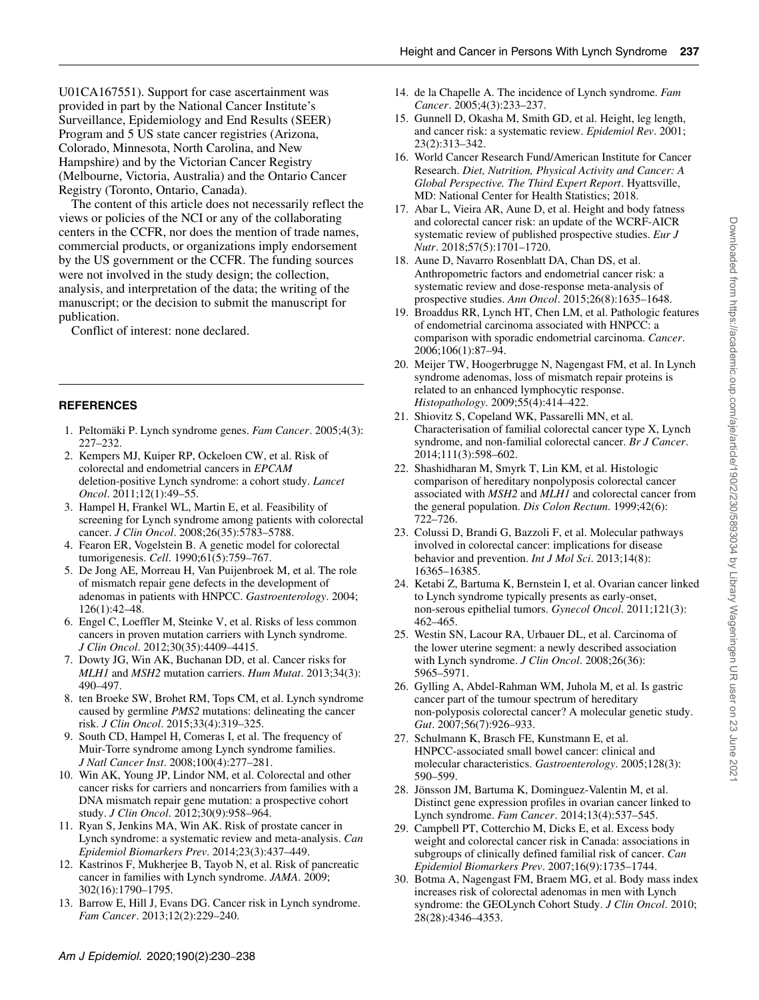U01CA167551). Support for case ascertainment was provided in part by the National Cancer Institute's Surveillance, Epidemiology and End Results (SEER) Program and 5 US state cancer registries (Arizona, Colorado, Minnesota, North Carolina, and New Hampshire) and by the Victorian Cancer Registry (Melbourne, Victoria, Australia) and the Ontario Cancer Registry (Toronto, Ontario, Canada).

The content of this article does not necessarily reflect the views or policies of the NCI or any of the collaborating centers in the CCFR, nor does the mention of trade names, commercial products, or organizations imply endorsement by the US government or the CCFR. The funding sources were not involved in the study design; the collection, analysis, and interpretation of the data; the writing of the manuscript; or the decision to submit the manuscript for publication.

Conflict of interest: none declared.

## **REFERENCES**

- <span id="page-7-0"></span>1. Peltomäki P. Lynch syndrome genes. *Fam Cancer*. 2005;4(3): 227–232.
- <span id="page-7-1"></span>2. Kempers MJ, Kuiper RP, Ockeloen CW, et al. Risk of colorectal and endometrial cancers in *EPCAM* deletion-positive Lynch syndrome: a cohort study. *Lancet Oncol*. 2011;12(1):49–55.
- <span id="page-7-2"></span>3. Hampel H, Frankel WL, Martin E, et al. Feasibility of screening for Lynch syndrome among patients with colorectal cancer. *J Clin Oncol*. 2008;26(35):5783–5788.
- <span id="page-7-3"></span>4. Fearon ER, Vogelstein B. A genetic model for colorectal tumorigenesis. *Cell*. 1990;61(5):759–767.
- <span id="page-7-4"></span>5. De Jong AE, Morreau H, Van Puijenbroek M, et al. The role of mismatch repair gene defects in the development of adenomas in patients with HNPCC. *Gastroenterology*. 2004; 126(1):42–48.
- 6. Engel C, Loeffler M, Steinke V, et al. Risks of less common cancers in proven mutation carriers with Lynch syndrome. *J Clin Oncol*. 2012;30(35):4409–4415.
- 7. Dowty JG, Win AK, Buchanan DD, et al. Cancer risks for *MLH1* and *MSH2* mutation carriers. *Hum Mutat*. 2013;34(3): 490–497.
- <span id="page-7-6"></span>8. ten Broeke SW, Brohet RM, Tops CM, et al. Lynch syndrome caused by germline *PMS2* mutations: delineating the cancer risk. *J Clin Oncol*. 2015;33(4):319–325.
- 9. South CD, Hampel H, Comeras I, et al. The frequency of Muir-Torre syndrome among Lynch syndrome families. *J Natl Cancer Inst*. 2008;100(4):277–281.
- 10. Win AK, Young JP, Lindor NM, et al. Colorectal and other cancer risks for carriers and noncarriers from families with a DNA mismatch repair gene mutation: a prospective cohort study. *J Clin Oncol*. 2012;30(9):958–964.
- 11. Ryan S, Jenkins MA, Win AK. Risk of prostate cancer in Lynch syndrome: a systematic review and meta-analysis. *Can Epidemiol Biomarkers Prev*. 2014;23(3):437–449.
- <span id="page-7-5"></span>12. Kastrinos F, Mukherjee B, Tayob N, et al. Risk of pancreatic cancer in families with Lynch syndrome. *JAMA*. 2009; 302(16):1790–1795.
- <span id="page-7-7"></span>13. Barrow E, Hill J, Evans DG. Cancer risk in Lynch syndrome. *Fam Cancer*. 2013;12(2):229–240.
- <span id="page-7-8"></span>14. de la Chapelle A. The incidence of Lynch syndrome. *Fam Cancer*. 2005;4(3):233–237.
- <span id="page-7-9"></span>15. Gunnell D, Okasha M, Smith GD, et al. Height, leg length, and cancer risk: a systematic review. *Epidemiol Rev*. 2001; 23(2):313–342.
- <span id="page-7-10"></span>16. World Cancer Research Fund/American Institute for Cancer Research. *Diet, Nutrition, Physical Activity and Cancer: A Global Perspective. The Third Expert Report*. Hyattsville, MD: National Center for Health Statistics; 2018.
- <span id="page-7-11"></span>17. Abar L, Vieira AR, Aune D, et al. Height and body fatness and colorectal cancer risk: an update of the WCRF-AICR systematic review of published prospective studies. *Eur J Nutr*. 2018;57(5):1701–1720.
- <span id="page-7-12"></span>18. Aune D, Navarro Rosenblatt DA, Chan DS, et al. Anthropometric factors and endometrial cancer risk: a systematic review and dose-response meta-analysis of prospective studies. *Ann Oncol*. 2015;26(8):1635–1648.
- <span id="page-7-13"></span>19. Broaddus RR, Lynch HT, Chen LM, et al. Pathologic features of endometrial carcinoma associated with HNPCC: a comparison with sporadic endometrial carcinoma. *Cancer*. 2006;106(1):87–94.
- 20. Meijer TW, Hoogerbrugge N, Nagengast FM, et al. In Lynch syndrome adenomas, loss of mismatch repair proteins is related to an enhanced lymphocytic response. *Histopathology*. 2009;55(4):414–422.
- 21. Shiovitz S, Copeland WK, Passarelli MN, et al. Characterisation of familial colorectal cancer type X, Lynch syndrome, and non-familial colorectal cancer. *Br J Cancer*. 2014;111(3):598–602.
- 22. Shashidharan M, Smyrk T, Lin KM, et al. Histologic comparison of hereditary nonpolyposis colorectal cancer associated with *MSH2* and *MLH1* and colorectal cancer from the general population. *Dis Colon Rectum*. 1999;42(6): 722–726.
- 23. Colussi D, Brandi G, Bazzoli F, et al. Molecular pathways involved in colorectal cancer: implications for disease behavior and prevention. *Int J Mol Sci*. 2013;14(8): 16365–16385.
- 24. Ketabi Z, Bartuma K, Bernstein I, et al. Ovarian cancer linked to Lynch syndrome typically presents as early-onset, non-serous epithelial tumors. *Gynecol Oncol*. 2011;121(3): 462–465.
- 25. Westin SN, Lacour RA, Urbauer DL, et al. Carcinoma of the lower uterine segment: a newly described association with Lynch syndrome. *J Clin Oncol*. 2008;26(36): 5965–5971.
- 26. Gylling A, Abdel-Rahman WM, Juhola M, et al. Is gastric cancer part of the tumour spectrum of hereditary non-polyposis colorectal cancer? A molecular genetic study. *Gut*. 2007;56(7):926–933.
- 27. Schulmann K, Brasch FE, Kunstmann E, et al. HNPCC-associated small bowel cancer: clinical and molecular characteristics. *Gastroenterology*. 2005;128(3): 590–599.
- <span id="page-7-14"></span>28. Jönsson JM, Bartuma K, Dominguez-Valentin M, et al. Distinct gene expression profiles in ovarian cancer linked to Lynch syndrome. *Fam Cancer*. 2014;13(4):537–545.
- <span id="page-7-15"></span>29. Campbell PT, Cotterchio M, Dicks E, et al. Excess body weight and colorectal cancer risk in Canada: associations in subgroups of clinically defined familial risk of cancer. *Can Epidemiol Biomarkers Prev*. 2007;16(9):1735–1744.
- <span id="page-7-16"></span>30. Botma A, Nagengast FM, Braem MG, et al. Body mass index increases risk of colorectal adenomas in men with Lynch syndrome: the GEOLynch Cohort Study. *J Clin Oncol*. 2010; 28(28):4346–4353.